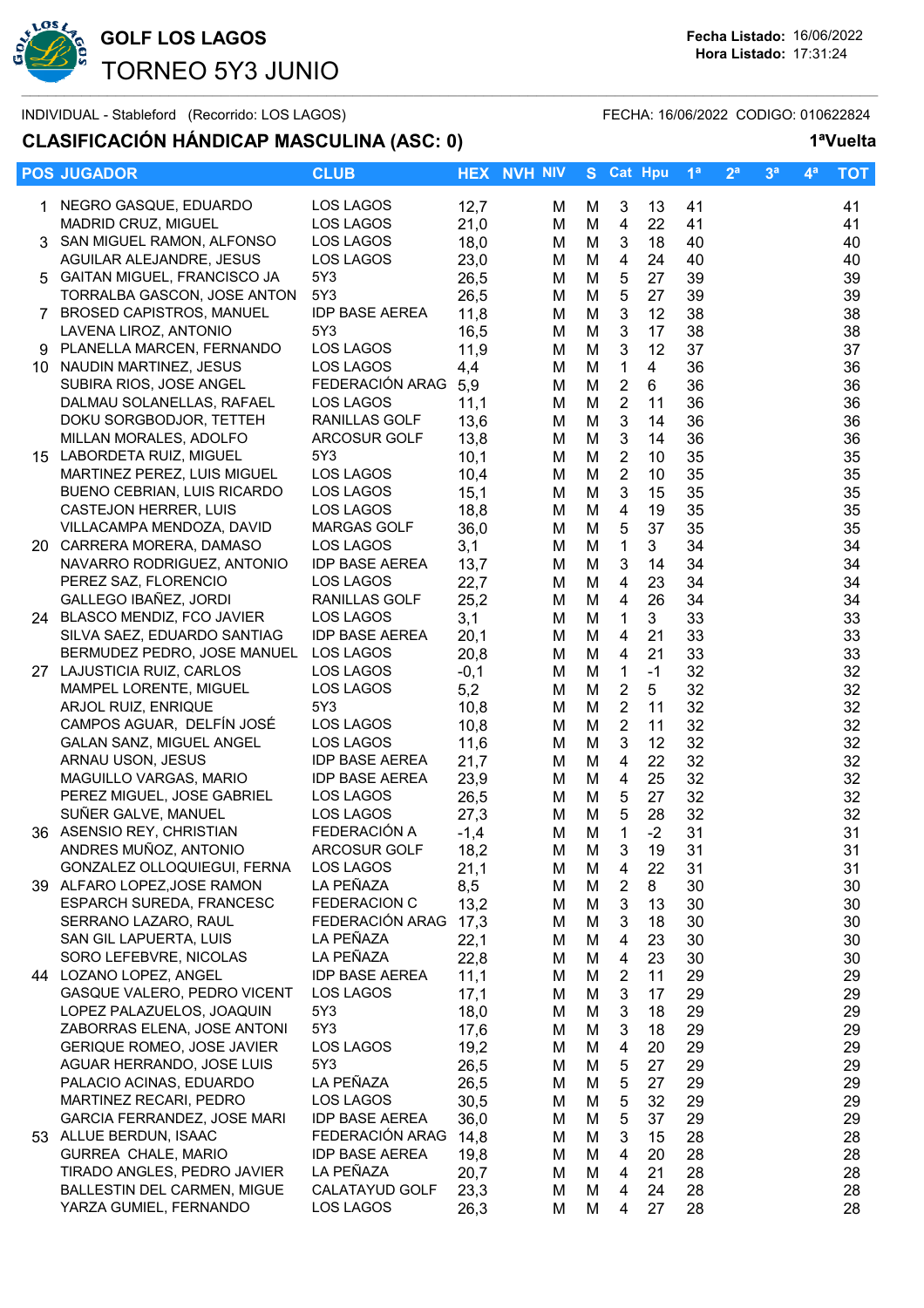

### **CLASIFICACIÓN HÁNDICAP MASCULINA (ASC: 0) 1ªVuelta**

| <b>POS JUGADOR</b>                                    | <b>CLUB</b>            |              | <b>HEX NVH NIV</b> |        | S Cat Hpu                      |                | 1 <sup>a</sup> | 2 <sup>a</sup> | 3 <sup>a</sup> | $4^a$ | <b>TOT</b> |
|-------------------------------------------------------|------------------------|--------------|--------------------|--------|--------------------------------|----------------|----------------|----------------|----------------|-------|------------|
| 1 NEGRO GASQUE, EDUARDO                               | LOS LAGOS              | 12,7         | м                  | M      | 3                              | 13             | 41             |                |                |       | 41         |
| MADRID CRUZ, MIGUEL                                   | LOS LAGOS              | 21,0         | M                  | M      | 4                              | 22             | 41             |                |                |       | 41         |
| 3 SAN MIGUEL RAMON, ALFONSO                           | LOS LAGOS              | 18,0         | м                  | M      | 3                              | 18             | 40             |                |                |       | 40         |
| AGUILAR ALEJANDRE, JESUS                              | LOS LAGOS              | 23,0         | M                  | M      | 4                              | 24             | 40             |                |                |       | 40         |
| 5 GAITAN MIGUEL, FRANCISCO JA                         | 5Y3                    | 26,5         | M                  | M      | 5                              | 27             | 39             |                |                |       | 39         |
| TORRALBA GASCON, JOSE ANTON                           | 5Y3                    | 26,5         | M                  | M      | 5                              | 27             | 39             |                |                |       | 39         |
| 7 BROSED CAPISTROS, MANUEL                            | <b>IDP BASE AEREA</b>  | 11,8         | M                  | M      | $\ensuremath{\mathsf{3}}$      | 12             | 38             |                |                |       | 38         |
| LAVENA LIROZ, ANTONIO                                 | 5Y3                    | 16,5         | M                  | M      | $\ensuremath{\mathsf{3}}$      | 17             | 38             |                |                |       | 38         |
| 9 PLANELLA MARCEN, FERNANDO                           | LOS LAGOS              | 11,9         | M                  | M      | $\mathbf{3}$                   | 12             | 37             |                |                |       | 37         |
| 10 NAUDIN MARTINEZ, JESUS                             | LOS LAGOS              | 4,4          | м                  | M      | $\mathbf{1}$                   | $\overline{4}$ | 36             |                |                |       | 36         |
| SUBIRA RIOS, JOSE ANGEL                               | FEDERACIÓN ARAG        | 5,9          | M                  | M      | $\overline{2}$                 | 6              | 36             |                |                |       | 36         |
| DALMAU SOLANELLAS, RAFAEL                             | LOS LAGOS              | 11,1         | M                  | M      | $\overline{2}$                 | 11             | 36             |                |                |       | 36         |
| DOKU SORGBODJOR, TETTEH                               | RANILLAS GOLF          | 13,6         | M                  | M      | 3                              | 14             | 36             |                |                |       | 36         |
| MILLAN MORALES, ADOLFO                                | <b>ARCOSUR GOLF</b>    | 13,8         | M                  | M      | 3                              | 14             | 36             |                |                |       | 36         |
| 15 LABORDETA RUIZ, MIGUEL                             | 5Y3                    | 10,1         | м                  | M      | $\overline{2}$                 | 10             | 35             |                |                |       | 35         |
| MARTINEZ PEREZ, LUIS MIGUEL                           | LOS LAGOS              | 10,4         | м                  | M      | $\overline{2}$                 | 10             | 35             |                |                |       | 35         |
| <b>BUENO CEBRIAN, LUIS RICARDO</b>                    | LOS LAGOS              | 15,1         | M                  | M      | 3                              | 15             | 35             |                |                |       | 35         |
| CASTEJON HERRER, LUIS                                 | LOS LAGOS              | 18,8         | M                  | M      | 4                              | 19             | 35             |                |                |       | 35         |
| VILLACAMPA MENDOZA, DAVID                             | <b>MARGAS GOLF</b>     | 36,0         | м                  | M      | 5                              | 37             | 35             |                |                |       | 35         |
| 20 CARRERA MORERA, DAMASO                             | LOS LAGOS              | 3,1          | M                  | M      | $\mathbf 1$                    | 3              | 34             |                |                |       | 34         |
| NAVARRO RODRIGUEZ, ANTONIO                            | <b>IDP BASE AEREA</b>  | 13,7         | M                  | M      | 3                              | 14             | 34             |                |                |       | 34         |
| PEREZ SAZ, FLORENCIO                                  | LOS LAGOS              | 22,7         | м                  | M      | 4                              | 23             | 34             |                |                |       | 34         |
| GALLEGO IBAÑEZ, JORDI                                 | RANILLAS GOLF          | 25,2         | M                  | M      | 4                              | 26             | 34             |                |                |       | 34         |
| 24 BLASCO MENDIZ, FCO JAVIER                          | LOS LAGOS              | 3,1          | M                  | M      | $\mathbf{1}$                   | 3              | 33             |                |                |       | 33         |
| SILVA SAEZ, EDUARDO SANTIAG                           | <b>IDP BASE AEREA</b>  | 20,1         | M                  | M      | 4                              | 21             | 33             |                |                |       | 33         |
| BERMUDEZ PEDRO, JOSE MANUEL                           | LOS LAGOS              | 20,8         | M                  | M      | 4                              | 21             | 33             |                |                |       | 33         |
| 27 LAJUSTICIA RUIZ, CARLOS                            | LOS LAGOS              | $-0,1$       | м                  | M      | 1                              | $-1$           | 32             |                |                |       | 32         |
| MAMPEL LORENTE, MIGUEL                                | LOS LAGOS              | 5,2          | M                  | M      | $\overline{2}$                 | 5              | 32             |                |                |       | 32         |
| ARJOL RUIZ, ENRIQUE                                   | 5Y3                    | 10,8         | M                  | M      | $\overline{2}$                 | 11             | 32             |                |                |       | 32         |
| CAMPOS AGUAR, DELFÍN JOSÉ<br>GALAN SANZ, MIGUEL ANGEL | LOS LAGOS<br>LOS LAGOS | 10,8         | M                  | M      | $\overline{2}$<br>$\mathbf{3}$ | 11<br>12       | 32<br>32       |                |                |       | 32         |
| ARNAU USON, JESUS                                     | <b>IDP BASE AEREA</b>  | 11,6<br>21,7 | M                  | M<br>M | $\overline{4}$                 | 22             | 32             |                |                |       | 32<br>32   |
| MAGUILLO VARGAS, MARIO                                | <b>IDP BASE AEREA</b>  | 23,9         | M<br>M             | M      | 4                              | 25             | 32             |                |                |       | 32         |
| PEREZ MIGUEL, JOSE GABRIEL                            | LOS LAGOS              | 26,5         | M                  | M      | 5                              | 27             | 32             |                |                |       | 32         |
| SUÑER GALVE, MANUEL                                   | LOS LAGOS              | 27,3         | м                  | M      | 5                              | 28             | 32             |                |                |       | 32         |
| 36 ASENSIO REY, CHRISTIAN                             | FEDERACIÓN A           | $-1,4$       | M                  | M      | 1                              | $-2$           | 31             |                |                |       | 31         |
| ANDRES MUÑOZ, ANTONIO                                 | ARCOSUR GOLF           | 18,2         | M                  | M      | 3                              | 19             | 31             |                |                |       | 31         |
| GONZALEZ OLLOQUIEGUI, FERNA                           | LOS LAGOS              | 21,1         | м                  | M      | 4                              | 22             | 31             |                |                |       | 31         |
| 39 ALFARO LOPEZ, JOSE RAMON                           | LA PEÑAZA              | 8,5          | M                  | M      | 2                              | 8              | 30             |                |                |       | 30         |
| <b>ESPARCH SUREDA, FRANCESC</b>                       | FEDERACION C           | 13,2         | M                  | M      | 3                              | 13             | 30             |                |                |       | 30         |
| SERRANO LAZARO, RAUL                                  | FEDERACIÓN ARAG        | 17,3         | м                  | M      | 3                              | 18             | 30             |                |                |       | 30         |
| SAN GIL LAPUERTA, LUIS                                | LA PEÑAZA              | 22,1         | M                  | M      | 4                              | 23             | 30             |                |                |       | 30         |
| SORO LEFEBVRE, NICOLAS                                | LA PEÑAZA              | 22,8         | M                  | M      | 4                              | 23             | 30             |                |                |       | 30         |
| 44 LOZANO LOPEZ, ANGEL                                | <b>IDP BASE AEREA</b>  | 11,1         | м                  | M      | $\overline{2}$                 | 11             | 29             |                |                |       | 29         |
| GASQUE VALERO, PEDRO VICENT                           | LOS LAGOS              | 17,1         | M                  | M      | $\ensuremath{\mathsf{3}}$      | 17             | 29             |                |                |       | 29         |
| LOPEZ PALAZUELOS, JOAQUIN                             | 5Y3                    | 18,0         | M                  | M      | 3                              | 18             | 29             |                |                |       | 29         |
| ZABORRAS ELENA, JOSE ANTONI                           | 5Y3                    | 17,6         | м                  | M      | 3                              | 18             | 29             |                |                |       | 29         |
| <b>GERIQUE ROMEO, JOSE JAVIER</b>                     | LOS LAGOS              | 19,2         | M                  | M      | 4                              | 20             | 29             |                |                |       | 29         |
| AGUAR HERRANDO, JOSE LUIS                             | 5Y3                    | 26,5         | M                  | M      | 5                              | 27             | 29             |                |                |       | 29         |
| PALACIO ACINAS, EDUARDO                               | LA PEÑAZA              | 26,5         | M                  | M      | 5                              | 27             | 29             |                |                |       | 29         |
| MARTINEZ RECARI, PEDRO                                | LOS LAGOS              | 30,5         | M                  | M      | 5                              | 32             | 29             |                |                |       | 29         |
| GARCIA FERRANDEZ, JOSE MARI                           | <b>IDP BASE AEREA</b>  | 36,0         | М                  | M      | 5                              | 37             | 29             |                |                |       | 29         |
| 53 ALLUE BERDUN, ISAAC                                | FEDERACIÓN ARAG        | 14,8         | м                  | M      | 3                              | 15             | 28             |                |                |       | 28         |
| GURREA CHALE, MARIO                                   | <b>IDP BASE AEREA</b>  | 19,8         | м                  | M      | 4                              | 20             | 28             |                |                |       | 28         |
| TIRADO ANGLES, PEDRO JAVIER                           | LA PEÑAZA              | 20,7         | M                  | M      | $\overline{4}$                 | 21             | 28             |                |                |       | 28         |
| BALLESTIN DEL CARMEN, MIGUE                           | CALATAYUD GOLF         | 23,3         | M                  | M      | $\overline{4}$                 | 24             | 28             |                |                |       | 28         |
| YARZA GUMIEL, FERNANDO                                | LOS LAGOS              | 26,3         | м                  | M      | 4                              | 27             | 28             |                |                |       | 28         |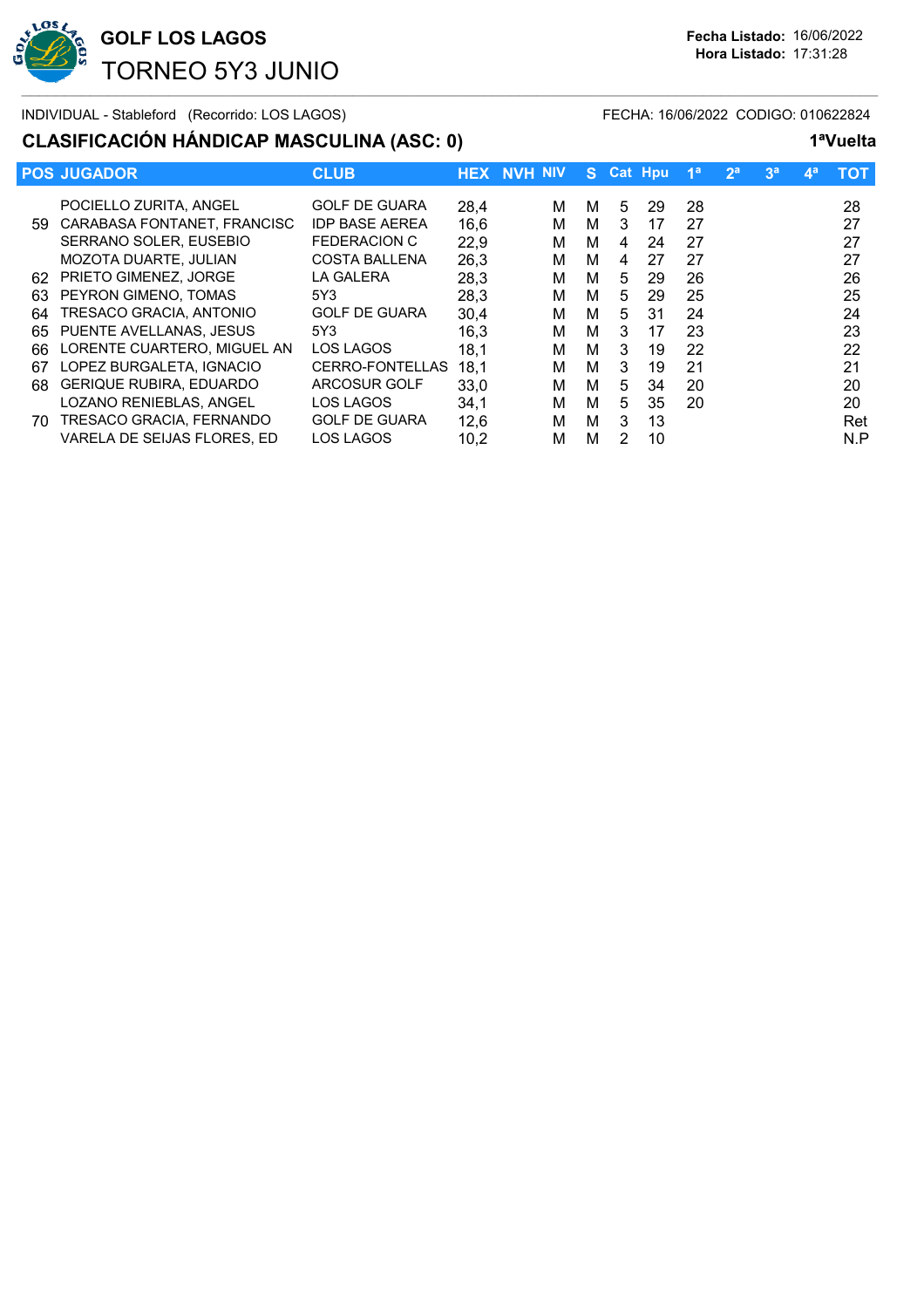

# **CLASIFICACIÓN HÁNDICAP MASCULINA (ASC: 0) 1ªVuelta**

| 1ªVuelta |
|----------|
|          |

|     | <b>POS JUGADOR</b>             | <b>CLUB</b>           |      | <b>HEX NVH NIV</b> | S. |   | Cat Hpu | 1 <sup>a</sup> | 2 <sup>a</sup> | 3 <sup>a</sup> | $\mathbf{4}^{\mathsf{a}}$ | тот |
|-----|--------------------------------|-----------------------|------|--------------------|----|---|---------|----------------|----------------|----------------|---------------------------|-----|
|     | POCIELLO ZURITA, ANGEL         | <b>GOLF DE GUARA</b>  | 28,4 | м                  | м  | 5 | 29      | 28             |                |                |                           | 28  |
| 59. | CARABASA FONTANET, FRANCISC    | <b>IDP BASE AEREA</b> | 16,6 | м                  | м  | 3 | 17      | 27             |                |                |                           | 27  |
|     | SERRANO SOLER, EUSEBIO         | <b>FEDERACION C</b>   | 22,9 | м                  | м  | 4 | 24      | 27             |                |                |                           | 27  |
|     | MOZOTA DUARTE, JULIAN          | <b>COSTA BALLENA</b>  | 26,3 | м                  | м  | 4 | 27      | 27             |                |                |                           | 27  |
| 62  | <b>PRIETO GIMENEZ, JORGE</b>   | <b>LA GALERA</b>      | 28,3 | м                  | м  | 5 | 29      | 26             |                |                |                           | 26  |
| 63  | PEYRON GIMENO, TOMAS           | 5Y3                   | 28,3 | м                  | м  | 5 | 29      | 25             |                |                |                           | 25  |
| 64  | TRESACO GRACIA, ANTONIO        | <b>GOLF DE GUARA</b>  | 30,4 | м                  | м  | 5 | 31      | 24             |                |                |                           | 24  |
| 65  | PUENTE AVELLANAS, JESUS        | 5Y3                   | 16,3 | м                  | м  | 3 | 17      | 23             |                |                |                           | 23  |
| 66  | LORENTE CUARTERO, MIGUEL AN    | LOS LAGOS             | 18,1 | м                  | м  | 3 | 19      | 22             |                |                |                           | 22  |
| 67  | LOPEZ BURGALETA, IGNACIO       | CERRO-FONTELLAS       | 18,1 | м                  | м  | 3 | 19      | 21             |                |                |                           | 21  |
| 68. | <b>GERIQUE RUBIRA, EDUARDO</b> | ARCOSUR GOLF          | 33.0 | м                  | м  | 5 | 34      | 20             |                |                |                           | 20  |
|     | LOZANO RENIEBLAS, ANGEL        | LOS LAGOS             | 34,1 | м                  | м  | 5 | 35      | 20             |                |                |                           | 20  |
| 70. | TRESACO GRACIA, FERNANDO       | <b>GOLF DE GUARA</b>  | 12,6 | м                  | м  | 3 | 13      |                |                |                |                           | Ret |
|     | VARELA DE SEIJAS FLORES, ED    | LOS LAGOS             | 10,2 | м                  | м  | 2 | 10      |                |                |                |                           | N.P |
|     |                                |                       |      |                    |    |   |         |                |                |                |                           |     |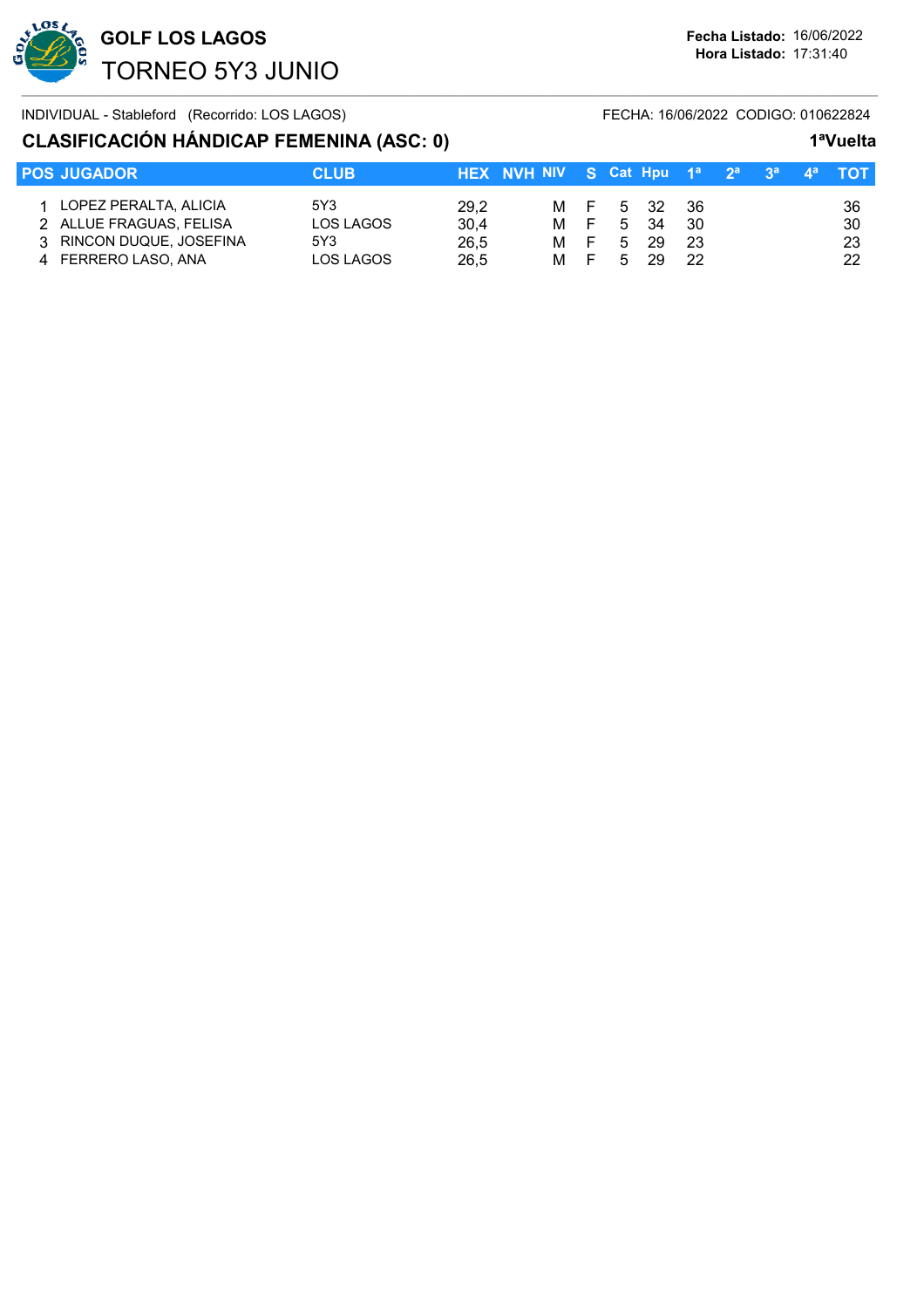

## **CLASIFICACIÓN HÁNDICAP FEMENINA (ASC: 0) 1ªVuelta**

| <b>POS JUGADOR</b>                                                                                    | <b>CLUB</b>                          | HEX NVH NIV S Cat Hpu $1^a$ $2^a$ $3^a$ $4^a$ TOT |                   |        |                                 |                         |  |                      |
|-------------------------------------------------------------------------------------------------------|--------------------------------------|---------------------------------------------------|-------------------|--------|---------------------------------|-------------------------|--|----------------------|
| 1 LOPEZ PERALTA, ALICIA<br>2 ALLUE FRAGUAS, FELISA<br>3 RINCON DUQUE, JOSEFINA<br>4 FERRERO LASO, ANA | 5Y3<br>LOS LAGOS<br>5Y3<br>LOS LAGOS | 29,2<br>30,4<br>26.5<br>26,5                      | M F<br>M F<br>M F | 5<br>5 | M F 5 32<br>5 34<br>-29<br>- 29 | - 36<br>30<br>-23<br>22 |  | 36<br>30<br>23<br>22 |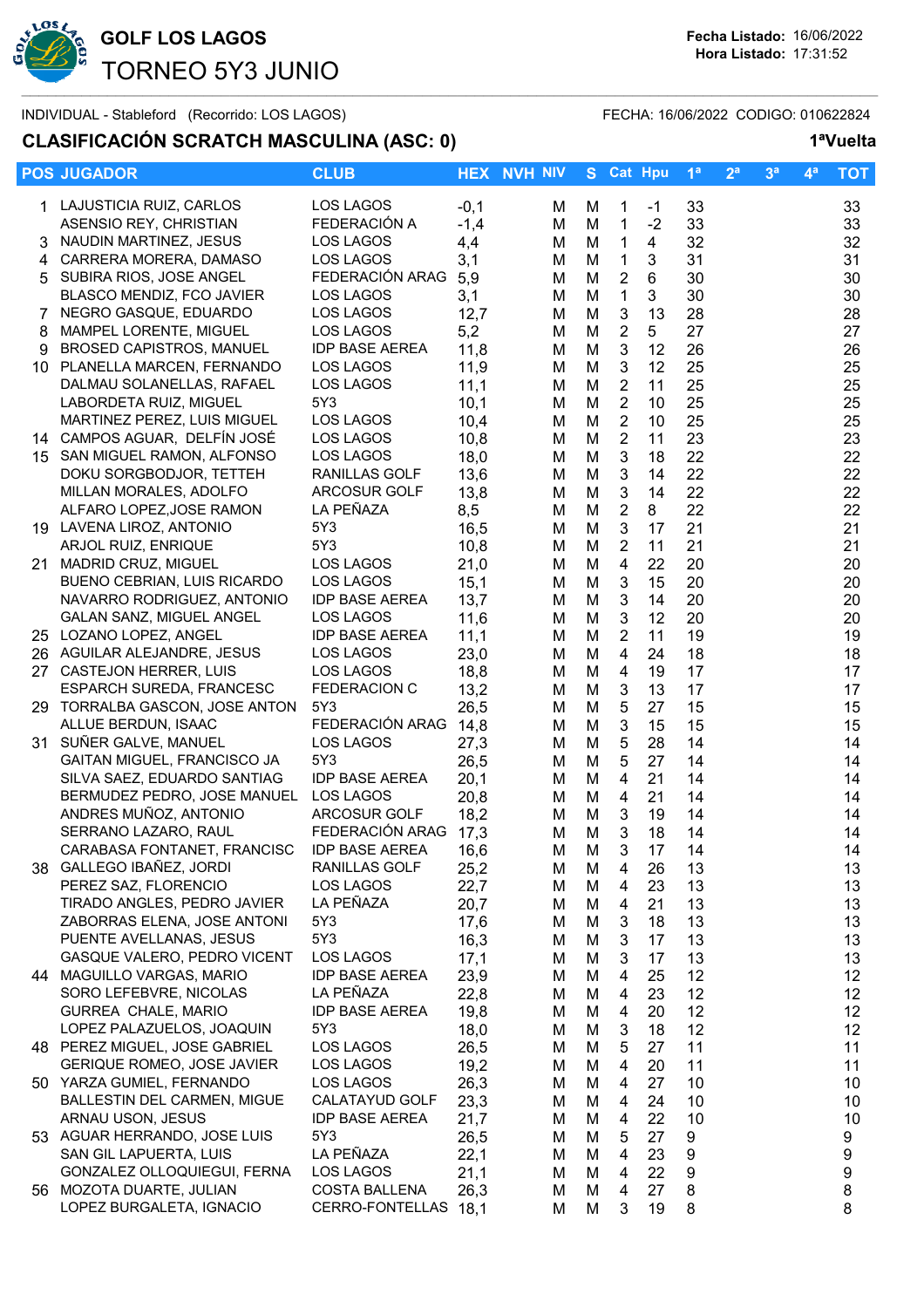

# **CLASIFICACIÓN SCRATCH MASCULINA (ASC: 0) 1ªVuelta**

**POS JUGADOR CLUB CLUB HEX NVH NIV S** Cat Hpu  $1^a$ 

|    |    |                | . vuvilu    |
|----|----|----------------|-------------|
| 2a | ξă | $\mathbf{A}$ a | <b>LTOT</b> |
|    |    |                |             |

|     | 1 LAJUSTICIA RUIZ, CARLOS         | LOS LAGOS             | $-0,1$ | M | M | 1                         | $-1$           | 33 | 33 |
|-----|-----------------------------------|-----------------------|--------|---|---|---------------------------|----------------|----|----|
|     | ASENSIO REY, CHRISTIAN            | FEDERACIÓN A          | $-1,4$ | M | M | 1                         | $-2$           | 33 | 33 |
|     | NAUDIN MARTINEZ, JESUS            | LOS LAGOS             | 4,4    | M | M | 1                         | 4              | 32 | 32 |
| 4   | CARRERA MORERA, DAMASO            | LOS LAGOS             | 3,1    | M | M | $\mathbf{1}$              | 3              | 31 | 31 |
|     | 5 SUBIRA RIOS, JOSE ANGEL         | FEDERACIÓN ARAG       | 5,9    | M | M | $\overline{2}$            | $6\phantom{1}$ | 30 | 30 |
|     | BLASCO MENDIZ, FCO JAVIER         | LOS LAGOS             | 3,1    | M | M | 1                         | 3              | 30 | 30 |
| 7   | NEGRO GASQUE, EDUARDO             | LOS LAGOS             | 12,7   | М | M | $\ensuremath{\mathsf{3}}$ | 13             | 28 | 28 |
| 8   | MAMPEL LORENTE, MIGUEL            | LOS LAGOS             | 5,2    | М | M | $\boldsymbol{2}$          | 5              | 27 | 27 |
| 9   | <b>BROSED CAPISTROS, MANUEL</b>   | <b>IDP BASE AEREA</b> | 11,8   | M | M | $\ensuremath{\mathsf{3}}$ | 12             | 26 | 26 |
|     | 10 PLANELLA MARCEN, FERNANDO      | LOS LAGOS             | 11,9   | M | M | $\ensuremath{\mathsf{3}}$ | 12             | 25 | 25 |
|     | DALMAU SOLANELLAS, RAFAEL         | LOS LAGOS             |        |   |   | $\overline{2}$            | 11             | 25 | 25 |
|     |                                   | 5Y3                   | 11,1   | М | M | $\overline{2}$            |                |    |    |
|     | LABORDETA RUIZ, MIGUEL            |                       | 10,1   | М | M |                           | 10             | 25 | 25 |
|     | MARTINEZ PEREZ, LUIS MIGUEL       | LOS LAGOS             | 10,4   | М | M | $\overline{2}$            | 10             | 25 | 25 |
|     | 14 CAMPOS AGUAR, DELFÍN JOSÉ      | LOS LAGOS             | 10,8   | М | M | $\overline{2}$            | 11             | 23 | 23 |
| 15  | SAN MIGUEL RAMON, ALFONSO         | LOS LAGOS             | 18,0   | М | M | 3                         | 18             | 22 | 22 |
|     | DOKU SORGBODJOR, TETTEH           | RANILLAS GOLF         | 13,6   | M | M | 3                         | 14             | 22 | 22 |
|     | MILLAN MORALES, ADOLFO            | ARCOSUR GOLF          | 13,8   | M | M | 3                         | 14             | 22 | 22 |
|     | ALFARO LOPEZ, JOSE RAMON          | LA PEÑAZA             | 8,5    | M | M | $\boldsymbol{2}$          | 8              | 22 | 22 |
|     | 19 LAVENA LIROZ, ANTONIO          | 5Y3                   | 16,5   | М | M | $\mathbf{3}$              | 17             | 21 | 21 |
|     | ARJOL RUIZ, ENRIQUE               | 5Y3                   | 10,8   | М | M | $\overline{2}$            | 11             | 21 | 21 |
| 21. | MADRID CRUZ, MIGUEL               | LOS LAGOS             | 21,0   | М | M | $\overline{\mathbf{4}}$   | 22             | 20 | 20 |
|     | BUENO CEBRIAN, LUIS RICARDO       | LOS LAGOS             | 15,1   | M | M | 3                         | 15             | 20 | 20 |
|     | NAVARRO RODRIGUEZ, ANTONIO        | <b>IDP BASE AEREA</b> | 13,7   | М | M | 3                         | 14             | 20 | 20 |
|     | GALAN SANZ, MIGUEL ANGEL          | LOS LAGOS             | 11,6   | М | M | 3                         | 12             | 20 | 20 |
|     | 25 LOZANO LOPEZ, ANGEL            | <b>IDP BASE AEREA</b> | 11,1   | М | M | $\overline{2}$            | 11             | 19 | 19 |
| 26. | AGUILAR ALEJANDRE, JESUS          | LOS LAGOS             | 23,0   | М | M | 4                         | 24             | 18 | 18 |
| 27  | CASTEJON HERRER, LUIS             | LOS LAGOS             | 18,8   | М | M | 4                         | 19             | 17 | 17 |
|     | <b>ESPARCH SUREDA, FRANCESC</b>   | <b>FEDERACION C</b>   | 13,2   | M | M | 3                         | 13             | 17 | 17 |
|     | 29 TORRALBA GASCON, JOSE ANTON    | 5Y3                   | 26,5   | M | M | 5                         | 27             | 15 | 15 |
|     | ALLUE BERDUN, ISAAC               | FEDERACIÓN ARAG       | 14,8   | M | M | 3                         | 15             | 15 | 15 |
|     | 31 SUÑER GALVE, MANUEL            | <b>LOS LAGOS</b>      | 27,3   | M | M | 5                         | 28             | 14 | 14 |
|     | GAITAN MIGUEL, FRANCISCO JA       | 5Y3                   | 26,5   | M | M | 5                         | 27             | 14 | 14 |
|     | SILVA SAEZ, EDUARDO SANTIAG       | <b>IDP BASE AEREA</b> | 20,1   | М | M | 4                         | 21             | 14 | 14 |
|     | BERMUDEZ PEDRO, JOSE MANUEL       | LOS LAGOS             | 20,8   | М | M | 4                         | 21             | 14 | 14 |
|     | ANDRES MUÑOZ, ANTONIO             | ARCOSUR GOLF          | 18,2   | М | M | 3                         | 19             | 14 | 14 |
|     | SERRANO LAZARO, RAUL              | FEDERACIÓN ARAG       | 17,3   | M | M | 3                         | 18             | 14 | 14 |
|     | CARABASA FONTANET, FRANCISC       | <b>IDP BASE AEREA</b> | 16,6   | M | M | 3                         | 17             | 14 | 14 |
| 38. | GALLEGO IBAÑEZ, JORDI             | RANILLAS GOLF         | 25,2   | M | M | 4                         | 26             | 13 | 13 |
|     | PEREZ SAZ, FLORENCIO              | <b>LOS LAGOS</b>      | 22,7   | M | M | 4                         | 23             | 13 | 13 |
|     | TIRADO ANGLES, PEDRO JAVIER       | LA PEÑAZA             | 20,7   | M | M | 4                         | 21             | 13 | 13 |
|     | ZABORRAS ELENA, JOSE ANTONI       | 5Y3                   | 17,6   | M | M | 3                         | 18             | 13 | 13 |
|     | PUENTE AVELLANAS, JESUS           | 5Y3                   | 16,3   | M | M | 3                         | 17             | 13 | 13 |
|     | GASQUE VALERO, PEDRO VICENT       | LOS LAGOS             | 17,1   | м | M | 3                         | 17             | 13 | 13 |
|     | 44 MAGUILLO VARGAS, MARIO         | <b>IDP BASE AEREA</b> | 23,9   | M | M | 4                         | 25             | 12 | 12 |
|     | SORO LEFEBVRE, NICOLAS            | LA PEÑAZA             | 22,8   | М | M | 4                         | 23             | 12 | 12 |
|     | <b>GURREA CHALE, MARIO</b>        | <b>IDP BASE AEREA</b> | 19,8   | м | M | 4                         | 20             | 12 | 12 |
|     | LOPEZ PALAZUELOS, JOAQUIN         | 5Y3                   | 18,0   | М | M | 3                         | 18             | 12 | 12 |
|     | 48 PEREZ MIGUEL, JOSE GABRIEL     | LOS LAGOS             | 26,5   | М | M | 5                         | 27             | 11 | 11 |
|     | <b>GERIQUE ROMEO, JOSE JAVIER</b> | LOS LAGOS             | 19,2   | М | M | 4                         | 20             | 11 | 11 |
|     | 50 YARZA GUMIEL, FERNANDO         | LOS LAGOS             | 26,3   | м | M | 4                         | 27             | 10 | 10 |
|     | BALLESTIN DEL CARMEN, MIGUE       | CALATAYUD GOLF        | 23,3   | M | M | 4                         | 24             | 10 | 10 |
|     | ARNAU USON, JESUS                 | <b>IDP BASE AEREA</b> | 21,7   | M | М | 4                         | 22             | 10 | 10 |
|     | 53 AGUAR HERRANDO, JOSE LUIS      | 5Y3                   | 26,5   | M | M | 5                         | 27             | 9  | 9  |
|     | SAN GIL LAPUERTA, LUIS            | LA PEÑAZA             | 22,1   | м | M | 4                         | 23             | 9  | 9  |
|     | GONZALEZ OLLOQUIEGUI, FERNA       | LOS LAGOS             | 21,1   | м | M | 4                         | 22             | 9  | 9  |
|     | 56 MOZOTA DUARTE, JULIAN          | <b>COSTA BALLENA</b>  | 26,3   | M | M | 4                         | 27             | 8  | 8  |
|     | LOPEZ BURGALETA, IGNACIO          | CERRO-FONTELLAS 18,1  |        | М | M | 3                         | 19             | 8  | 8  |
|     |                                   |                       |        |   |   |                           |                |    |    |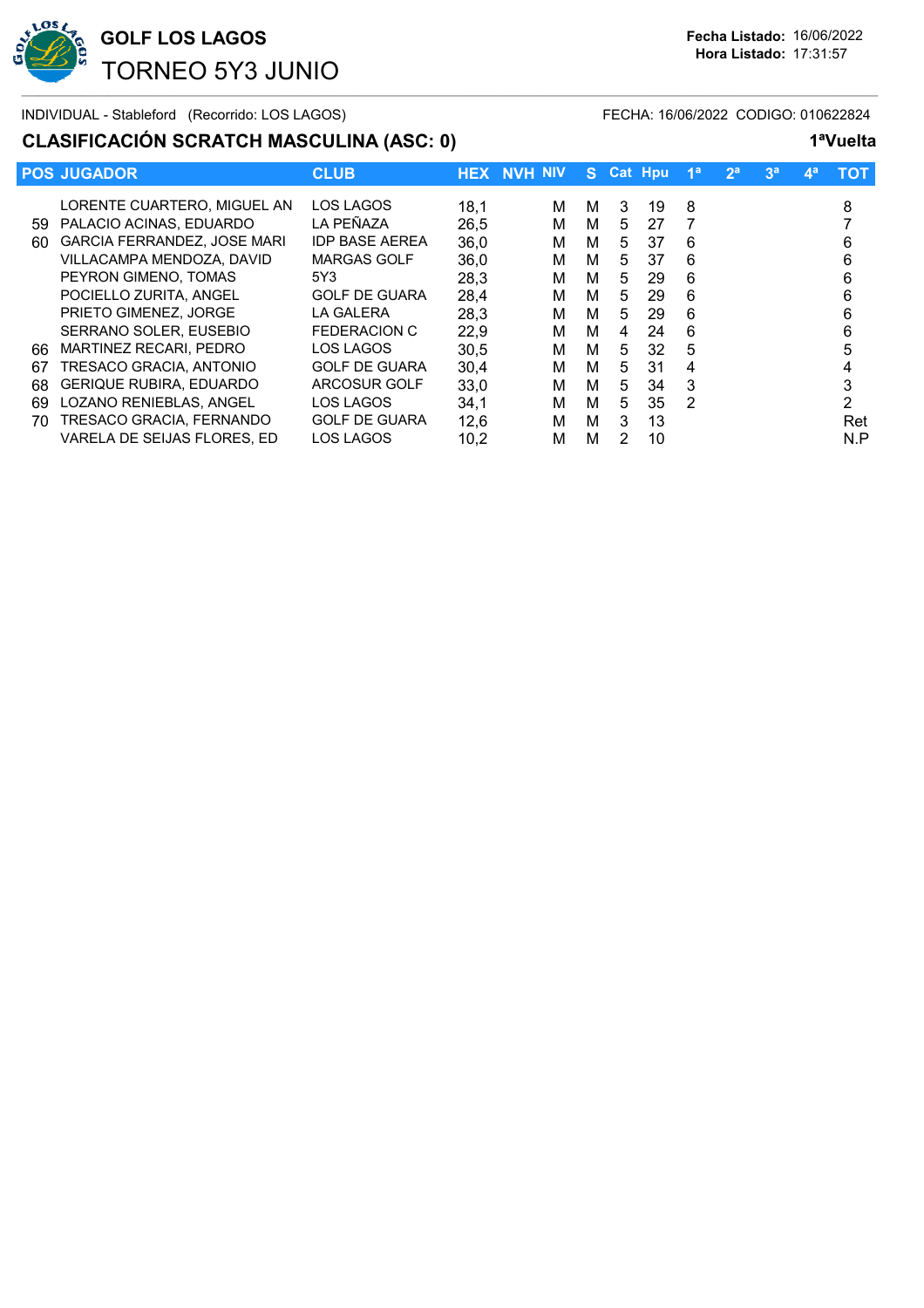

## **CLASIFICACIÓN SCRATCH MASCULINA (ASC: 0) 1ªVuelta**

|     | <b>POS JUGADOR</b>                 | <b>CLUB</b>           |      | <b>HEX NVH NIV</b> | S. |   | Cat Hpu | 1 <sup>a</sup> | 2 <sup>a</sup> | 3 <sup>a</sup> | $\mathbf{A}^{\mathbf{a}}$ | <b>TOT</b> |
|-----|------------------------------------|-----------------------|------|--------------------|----|---|---------|----------------|----------------|----------------|---------------------------|------------|
|     | LORENTE CUARTERO, MIGUEL AN        | LOS LAGOS             | 18,1 | м                  | м  | 3 | 19      | 8              |                |                |                           | 8          |
| 59  | PALACIO ACINAS, EDUARDO            | LA PEÑAZA             | 26,5 | м                  | м  | 5 | 27      | 7              |                |                |                           |            |
| 60. | <b>GARCIA FERRANDEZ, JOSE MARI</b> | <b>IDP BASE AEREA</b> | 36,0 | м                  | м  | 5 | 37      | 6              |                |                |                           | 6          |
|     | VILLACAMPA MENDOZA, DAVID          | <b>MARGAS GOLF</b>    | 36.0 | м                  | м  | 5 | 37      | 6              |                |                |                           | 6          |
|     | PEYRON GIMENO, TOMAS               | 5Y3                   | 28,3 | м                  | М  | 5 | 29      | 6              |                |                |                           | 6          |
|     | POCIELLO ZURITA, ANGEL             | <b>GOLF DE GUARA</b>  | 28,4 | м                  | м  | 5 | 29      | 6              |                |                |                           | 6          |
|     | PRIETO GIMENEZ. JORGE              | LA GALERA             | 28.3 | м                  | М  | 5 | 29      | 6              |                |                |                           | 6          |
|     | SERRANO SOLER, EUSEBIO             | FEDERACION C          | 22,9 | м                  | М  | 4 | 24      | 6              |                |                |                           | 6          |
| 66  | <b>MARTINEZ RECARI. PEDRO</b>      | LOS LAGOS             | 30,5 | м                  | м  | 5 | 32      | 5              |                |                |                           |            |
| 67  | TRESACO GRACIA, ANTONIO            | <b>GOLF DE GUARA</b>  | 30.4 | м                  | м  | 5 | 31      | 4              |                |                |                           |            |
| 68  | <b>GERIQUE RUBIRA, EDUARDO</b>     | ARCOSUR GOLF          | 33.0 | м                  | М  | 5 | 34      | 3              |                |                |                           |            |
| 69  | LOZANO RENIEBLAS, ANGEL            | LOS LAGOS             | 34,1 | м                  | M  | 5 | 35      | $\mathcal{P}$  |                |                |                           | っ          |
| 70  | TRESACO GRACIA, FERNANDO           | <b>GOLF DE GUARA</b>  | 12,6 | м                  | M  | 3 | 13      |                |                |                |                           | Ret        |
|     | VARELA DE SEIJAS FLORES. ED        | <b>LOS LAGOS</b>      | 10.2 | м                  | м  | 2 | 10      |                |                |                |                           | N.P        |